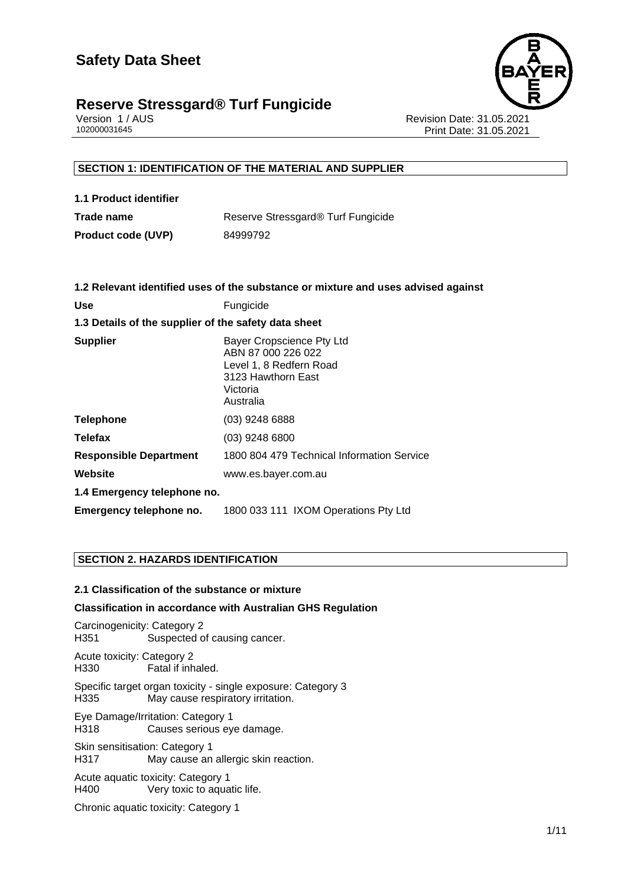

Version 1 / AUS Revision Date: 31.05.2021 Print Date: 31.05.2021

# **SECTION 1: IDENTIFICATION OF THE MATERIAL AND SUPPLIER**

| 1.1 Product identifier    |                                    |
|---------------------------|------------------------------------|
| Trade name                | Reserve Stressgard® Turf Fungicide |
| <b>Product code (UVP)</b> | 84999792                           |

|                                                      | 1.2 Relevant identified uses of the substance or mixture and uses advised against                                         |  |  |  |
|------------------------------------------------------|---------------------------------------------------------------------------------------------------------------------------|--|--|--|
| <b>Use</b>                                           | Fungicide                                                                                                                 |  |  |  |
| 1.3 Details of the supplier of the safety data sheet |                                                                                                                           |  |  |  |
| <b>Supplier</b>                                      | Bayer Cropscience Pty Ltd<br>ABN 87 000 226 022<br>Level 1, 8 Redfern Road<br>3123 Hawthorn East<br>Victoria<br>Australia |  |  |  |
| <b>Telephone</b>                                     | (03) 9248 6888                                                                                                            |  |  |  |
| <b>Telefax</b>                                       | $(03)$ 9248 6800                                                                                                          |  |  |  |
| <b>Responsible Department</b>                        | 1800 804 479 Technical Information Service                                                                                |  |  |  |
| Website                                              | www.es.bayer.com.au                                                                                                       |  |  |  |
| 1.4 Emergency telephone no.                          |                                                                                                                           |  |  |  |
| Emergency telephone no.                              | 1800 033 111 IXOM Operations Pty Ltd                                                                                      |  |  |  |

# **SECTION 2. HAZARDS IDENTIFICATION**

# **2.1 Classification of the substance or mixture**

#### **Classification in accordance with Australian GHS Regulation**

Carcinogenicity: Category 2 H351 Suspected of causing cancer.

Acute toxicity: Category 2 H330 Fatal if inhaled.

Specific target organ toxicity - single exposure: Category 3<br>H335 May cause respiratory irritation. May cause respiratory irritation.

Eye Damage/Irritation: Category 1 H318 Causes serious eye damage.

Skin sensitisation: Category 1 H317 May cause an allergic skin reaction.

Acute aquatic toxicity: Category 1<br>H400 Very toxic to aqua Very toxic to aquatic life.

Chronic aquatic toxicity: Category 1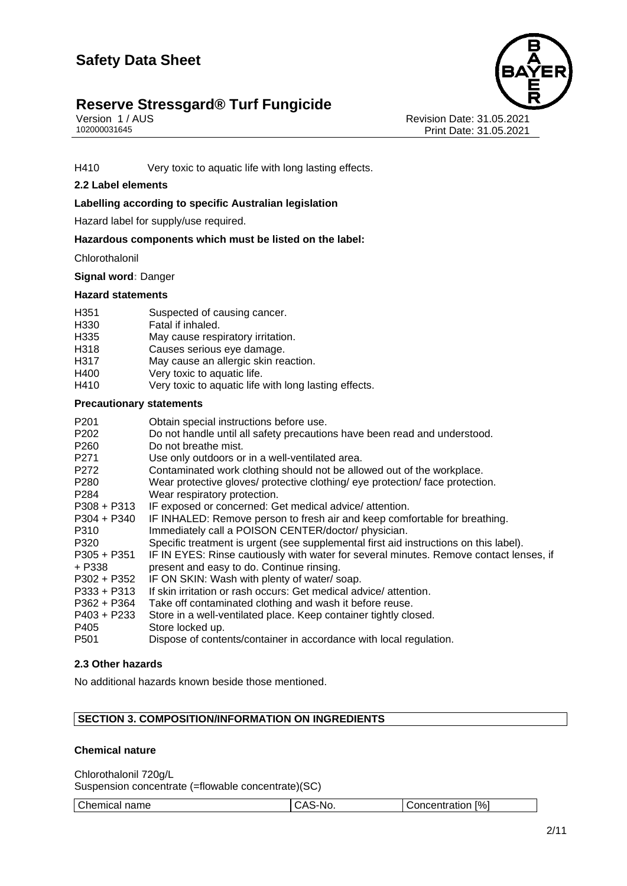

Version 1 / AUS<br>102000031645<br>Print Date: 31.05.2021 Print Date: 31.05.2021

H410 Very toxic to aquatic life with long lasting effects.

# **2.2 Label elements**

#### **Labelling according to specific Australian legislation**

Hazard label for supply/use required.

#### **Hazardous components which must be listed on the label:**

**Chlorothalonil** 

**Signal word:** Danger

#### **Hazard statements**

| H351 | Suspected of causing cancer. |
|------|------------------------------|
|      |                              |

- H330 Fatal if inhaled.
- H335 May cause respiratory irritation.
- H318 Causes serious eye damage.
- H317 May cause an allergic skin reaction.<br>H400 Very toxic to aquatic life.
- H400 Very toxic to aquatic life.<br>H410 Very toxic to aquatic life
- Very toxic to aquatic life with long lasting effects.

#### **Precautionary statements**

| P201              | Obtain special instructions before use.                                                |
|-------------------|----------------------------------------------------------------------------------------|
| P202              | Do not handle until all safety precautions have been read and understood.              |
| P <sub>260</sub>  | Do not breathe mist.                                                                   |
| P271              | Use only outdoors or in a well-ventilated area.                                        |
| P272              | Contaminated work clothing should not be allowed out of the workplace.                 |
| P <sub>280</sub>  | Wear protective gloves/ protective clothing/ eye protection/ face protection.          |
| P <sub>2</sub> 84 | Wear respiratory protection.                                                           |
| $P308 + P313$     | IF exposed or concerned: Get medical advice/attention.                                 |
| P304 + P340       | IF INHALED: Remove person to fresh air and keep comfortable for breathing.             |
| P310              | Immediately call a POISON CENTER/doctor/ physician.                                    |
| P320              | Specific treatment is urgent (see supplemental first aid instructions on this label).  |
| $P305 + P351$     | IF IN EYES: Rinse cautiously with water for several minutes. Remove contact lenses, if |
| + P338            | present and easy to do. Continue rinsing.                                              |
| P302 + P352       | IF ON SKIN: Wash with plenty of water/soap.                                            |
| $P333 + P313$     | If skin irritation or rash occurs: Get medical advice/attention.                       |
| P362 + P364       | Take off contaminated clothing and wash it before reuse.                               |
| P403 + P233       | Store in a well-ventilated place. Keep container tightly closed.                       |
| P405              | Store locked up.                                                                       |
| P501              | Dispose of contents/container in accordance with local regulation.                     |
|                   |                                                                                        |

# **2.3 Other hazards**

No additional hazards known beside those mentioned.

# **SECTION 3. COMPOSITION/INFORMATION ON INGREDIENTS**

#### **Chemical nature**

Chlorothalonil 720g/L Suspension concentrate (=flowable concentrate)(SC)

| $\sim$<br>name<br>------<br>.<br>ז ב∩<br>ernicai | <br>N. | [%]<br>---<br>$\sim$ $\sim$<br>ж |
|--------------------------------------------------|--------|----------------------------------|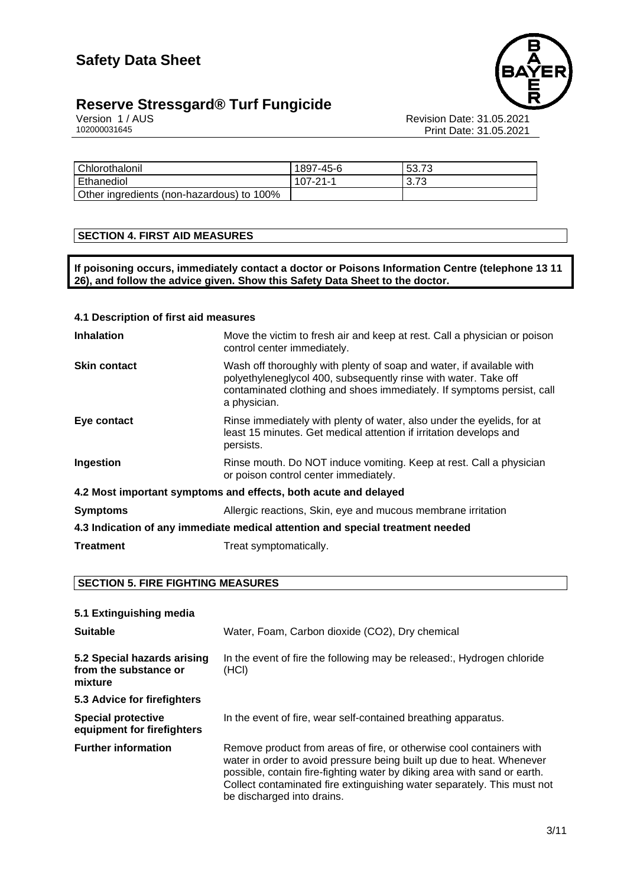



Version 1 / AUS Revision Date: 31.05.2021 102000031645 Print Date: 31.05.2021

| Chlorothalonil                            | 1897-45-6 | 53.73 |
|-------------------------------------------|-----------|-------|
| Ethanediol                                | 107-21-1  | 3.73  |
| Other ingredients (non-hazardous) to 100% |           |       |

# **SECTION 4. FIRST AID MEASURES**

**If poisoning occurs, immediately contact a doctor or Poisons Information Centre (telephone 13 11 26), and follow the advice given. Show this Safety Data Sheet to the doctor.**

| 4.1 Description of first aid measures |                                                                                                                                                                                                                                   |  |  |
|---------------------------------------|-----------------------------------------------------------------------------------------------------------------------------------------------------------------------------------------------------------------------------------|--|--|
| <b>Inhalation</b>                     | Move the victim to fresh air and keep at rest. Call a physician or poison<br>control center immediately.                                                                                                                          |  |  |
| <b>Skin contact</b>                   | Wash off thoroughly with plenty of soap and water, if available with<br>polyethyleneglycol 400, subsequently rinse with water. Take off<br>contaminated clothing and shoes immediately. If symptoms persist, call<br>a physician. |  |  |
| Eye contact                           | Rinse immediately with plenty of water, also under the eyelids, for at<br>least 15 minutes. Get medical attention if irritation develops and<br>persists.                                                                         |  |  |
| Ingestion                             | Rinse mouth. Do NOT induce vomiting. Keep at rest. Call a physician<br>or poison control center immediately.                                                                                                                      |  |  |
|                                       | 4.2 Most important symptoms and effects, both acute and delayed                                                                                                                                                                   |  |  |
| <b>Symptoms</b>                       | Allergic reactions, Skin, eye and mucous membrane irritation                                                                                                                                                                      |  |  |
|                                       | 4.3 Indication of any immediate medical attention and special treatment needed                                                                                                                                                    |  |  |
| <b>Treatment</b>                      | Treat symptomatically.                                                                                                                                                                                                            |  |  |

# **SECTION 5. FIRE FIGHTING MEASURES**

| 5.1 Extinguishing media                                         |                                                                                                                                                                                                                                                                                                                                    |  |  |  |
|-----------------------------------------------------------------|------------------------------------------------------------------------------------------------------------------------------------------------------------------------------------------------------------------------------------------------------------------------------------------------------------------------------------|--|--|--|
| <b>Suitable</b>                                                 | Water, Foam, Carbon dioxide (CO2), Dry chemical                                                                                                                                                                                                                                                                                    |  |  |  |
| 5.2 Special hazards arising<br>from the substance or<br>mixture | In the event of fire the following may be released:, Hydrogen chloride<br>(HCI)                                                                                                                                                                                                                                                    |  |  |  |
| 5.3 Advice for firefighters                                     |                                                                                                                                                                                                                                                                                                                                    |  |  |  |
| <b>Special protective</b><br>equipment for firefighters         | In the event of fire, wear self-contained breathing apparatus.                                                                                                                                                                                                                                                                     |  |  |  |
| <b>Further information</b>                                      | Remove product from areas of fire, or otherwise cool containers with<br>water in order to avoid pressure being built up due to heat. Whenever<br>possible, contain fire-fighting water by diking area with sand or earth.<br>Collect contaminated fire extinguishing water separately. This must not<br>be discharged into drains. |  |  |  |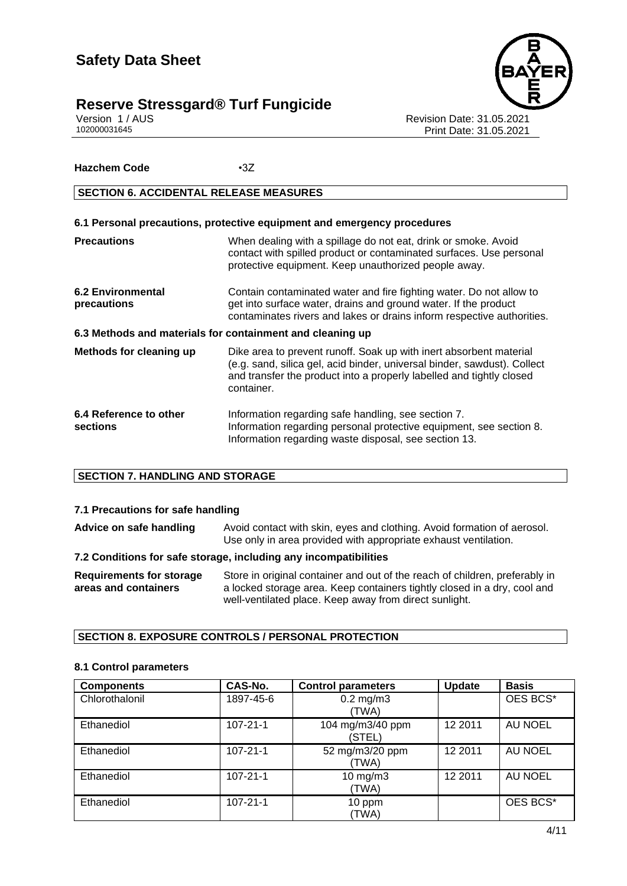

Version 1 / AUS<br>102000031645<br>Print Date: 31.05.2021 Print Date: 31.05.2021

# **Hazchem Code** •3Z

# **SECTION 6. ACCIDENTAL RELEASE MEASURES**

| 6.1 Personal precautions, protective equipment and emergency procedures |                                                                                                                                                                                                                                      |  |  |  |
|-------------------------------------------------------------------------|--------------------------------------------------------------------------------------------------------------------------------------------------------------------------------------------------------------------------------------|--|--|--|
| <b>Precautions</b>                                                      | When dealing with a spillage do not eat, drink or smoke. Avoid<br>contact with spilled product or contaminated surfaces. Use personal<br>protective equipment. Keep unauthorized people away.                                        |  |  |  |
| <b>6.2 Environmental</b><br>precautions                                 | Contain contaminated water and fire fighting water. Do not allow to<br>get into surface water, drains and ground water. If the product<br>contaminates rivers and lakes or drains inform respective authorities.                     |  |  |  |
| 6.3 Methods and materials for containment and cleaning up               |                                                                                                                                                                                                                                      |  |  |  |
| <b>Methods for cleaning up</b>                                          | Dike area to prevent runoff. Soak up with inert absorbent material<br>(e.g. sand, silica gel, acid binder, universal binder, sawdust). Collect<br>and transfer the product into a properly labelled and tightly closed<br>container. |  |  |  |
| 6.4 Reference to other<br><b>sections</b>                               | Information regarding safe handling, see section 7.<br>Information regarding personal protective equipment, see section 8.<br>Information regarding waste disposal, see section 13.                                                  |  |  |  |

# **SECTION 7. HANDLING AND STORAGE**

# **7.1 Precautions for safe handling**

Advice on safe handling Avoid contact with skin, eyes and clothing. Avoid formation of aerosol. Use only in area provided with appropriate exhaust ventilation.

#### **7.2 Conditions for safe storage, including any incompatibilities**

| Requirements for storage | Store in original container and out of the reach of children, preferably in |
|--------------------------|-----------------------------------------------------------------------------|
| areas and containers     | a locked storage area. Keep containers tightly closed in a dry, cool and    |
|                          | well-ventilated place. Keep away from direct sunlight.                      |

# **SECTION 8. EXPOSURE CONTROLS / PERSONAL PROTECTION**

#### **8.1 Control parameters**

| <b>Components</b> | CAS-No.        | <b>Control parameters</b>  | <b>Update</b> | <b>Basis</b>   |
|-------------------|----------------|----------------------------|---------------|----------------|
| Chlorothalonil    | 1897-45-6      | $0.2$ mg/m $3$<br>(TWA)    |               | OES BCS*       |
| Ethanediol        | $107 - 21 - 1$ | 104 mg/m3/40 ppm<br>(STEL) | 12 2011       | <b>AU NOEL</b> |
| Ethanediol        | $107 - 21 - 1$ | 52 mg/m3/20 ppm<br>(TWA)   | 12 2011       | <b>AU NOEL</b> |
| Ethanediol        | $107 - 21 - 1$ | $10$ mg/m $3$<br>(TWA)     | 12 2011       | AU NOEL        |
| Ethanediol        | $107 - 21 - 1$ | 10 ppm<br>(TWA)            |               | OES BCS*       |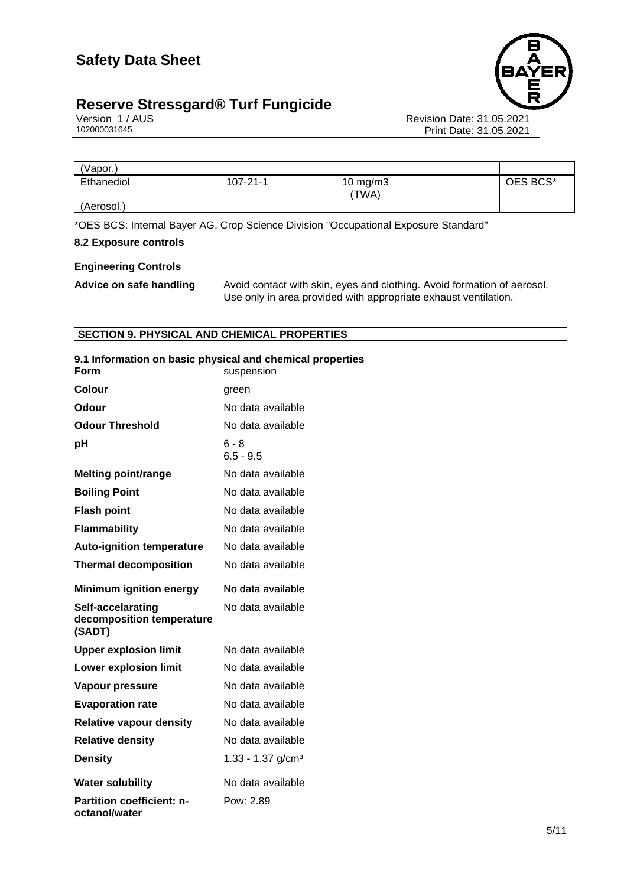

Version 1 / AUS<br>102000031645<br>Print Date: 31.05.2021 Print Date: 31.05.2021

| 'Vapor.)   |                |                   |          |
|------------|----------------|-------------------|----------|
| Ethanediol | $107 - 21 - 1$ | 10 mg/m3<br>'TWA) | OES BCS* |
| (Aerosol.) |                |                   |          |

\*OES BCS: Internal Bayer AG, Crop Science Division "Occupational Exposure Standard"

# **8.2 Exposure controls**

# **Engineering Controls**

Advice on safe handling Avoid contact with skin, eyes and clothing. Avoid formation of aerosol. Use only in area provided with appropriate exhaust ventilation.

# **SECTION 9. PHYSICAL AND CHEMICAL PROPERTIES**

| Form                                                     | 9.1 Information on basic physical and chemical properties<br>suspension |
|----------------------------------------------------------|-------------------------------------------------------------------------|
| Colour                                                   | green                                                                   |
| Odour                                                    | No data available                                                       |
| <b>Odour Threshold</b>                                   | No data available                                                       |
| рH                                                       | $6 - 8$<br>$6.5 - 9.5$                                                  |
| <b>Melting point/range</b>                               | No data available                                                       |
| <b>Boiling Point</b>                                     | No data available                                                       |
| <b>Flash point</b>                                       | No data available                                                       |
| Flammability                                             | No data available                                                       |
| <b>Auto-ignition temperature</b>                         | No data available                                                       |
| <b>Thermal decomposition</b>                             | No data available                                                       |
| <b>Minimum ignition energy</b>                           | No data available                                                       |
| Self-accelarating<br>decomposition temperature<br>(SADT) | No data available                                                       |
| <b>Upper explosion limit</b>                             | No data available                                                       |
| <b>Lower explosion limit</b>                             | No data available                                                       |
| Vapour pressure                                          | No data available                                                       |
| <b>Evaporation rate</b>                                  | No data available                                                       |
| <b>Relative vapour density</b>                           | No data available                                                       |
| <b>Relative density</b>                                  | No data available                                                       |
| <b>Density</b>                                           | 1.33 - 1.37 $g/cm3$                                                     |
| <b>Water solubility</b>                                  | No data available                                                       |
| <b>Partition coefficient: n-</b><br>octanol/water        | Pow: 2.89                                                               |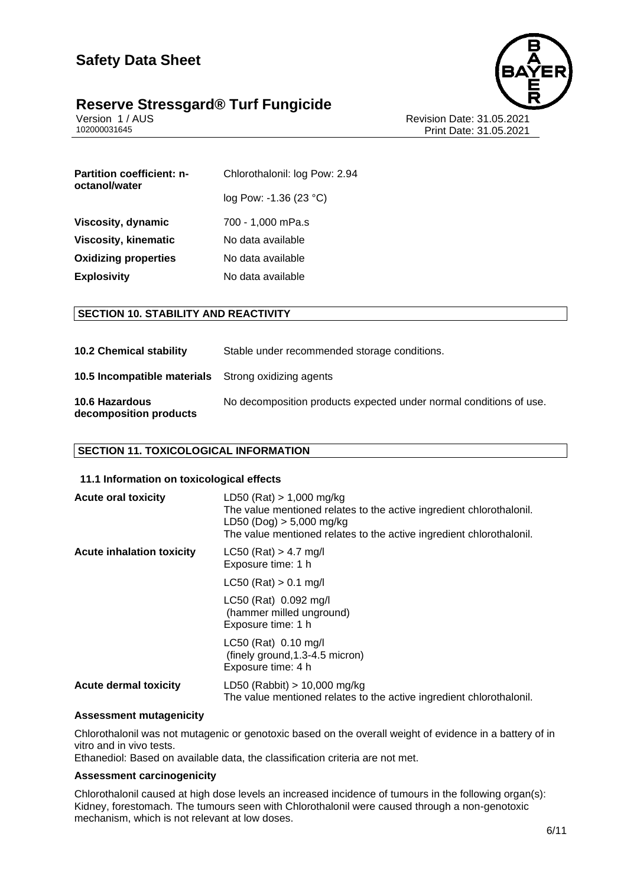



Version 1 / AUS<br>102000031645<br>Print Date: 31.05.2021 Print Date: 31.05.2021

| Chlorothalonil: log Pow: 2.94 |
|-------------------------------|
| log Pow: -1.36 (23 °C)        |
| 700 - 1,000 mPa.s             |
| No data available             |
| No data available             |
| No data available             |
|                               |

# **SECTION 10. STABILITY AND REACTIVITY**

| <b>10.2 Chemical stability</b>                             | Stable under recommended storage conditions.                       |
|------------------------------------------------------------|--------------------------------------------------------------------|
| <b>10.5 Incompatible materials</b> Strong oxidizing agents |                                                                    |
| 10.6 Hazardous<br>decomposition products                   | No decomposition products expected under normal conditions of use. |

# **SECTION 11. TOXICOLOGICAL INFORMATION**

### **11.1 Information on toxicological effects**

| <b>Acute oral toxicity</b>       | $LD50$ (Rat) $> 1,000$ mg/kg<br>The value mentioned relates to the active ingredient chlorothalonil.<br>LD50 (Dog) > 5,000 mg/kg<br>The value mentioned relates to the active ingredient chlorothalonil. |
|----------------------------------|----------------------------------------------------------------------------------------------------------------------------------------------------------------------------------------------------------|
| <b>Acute inhalation toxicity</b> | $LC50$ (Rat) > 4.7 mg/l<br>Exposure time: 1 h                                                                                                                                                            |
|                                  | $LC50$ (Rat) $> 0.1$ mg/l                                                                                                                                                                                |
|                                  | LC50 (Rat) 0.092 mg/l<br>(hammer milled unground)<br>Exposure time: 1 h                                                                                                                                  |
|                                  | LC50 (Rat) 0.10 mg/l<br>$(\text{finely ground}, 1.3-4.5 \text{ micron})$<br>Exposure time: 4 h                                                                                                           |
| <b>Acute dermal toxicity</b>     | LD50 (Rabbit) $> 10,000$ mg/kg<br>The value mentioned relates to the active ingredient chlorothalonil.                                                                                                   |

#### **Assessment mutagenicity**

Chlorothalonil was not mutagenic or genotoxic based on the overall weight of evidence in a battery of in vitro and in vivo tests.

Ethanediol: Based on available data, the classification criteria are not met.

#### **Assessment carcinogenicity**

Chlorothalonil caused at high dose levels an increased incidence of tumours in the following organ(s): Kidney, forestomach. The tumours seen with Chlorothalonil were caused through a non-genotoxic mechanism, which is not relevant at low doses.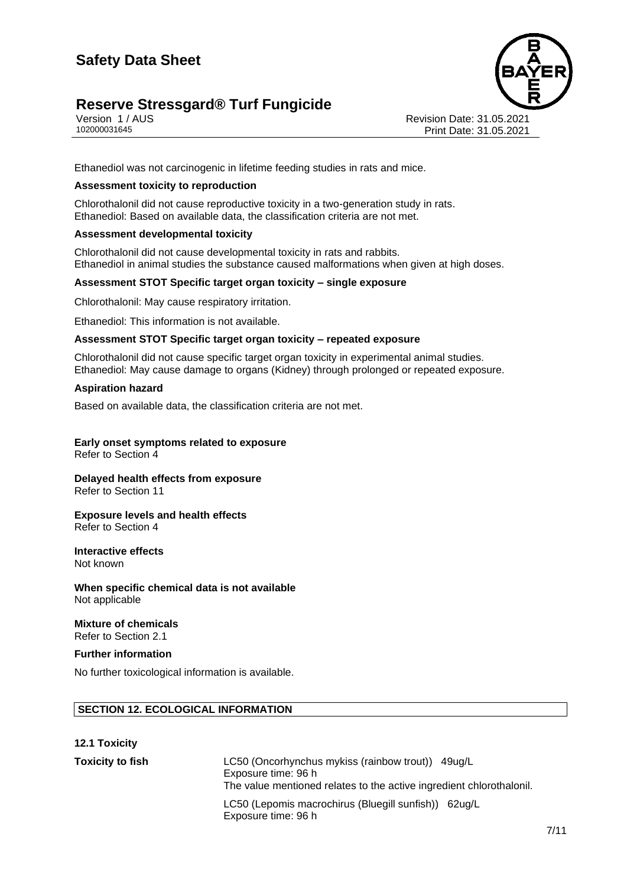# **Reserve Stressgard® Turf Fungicide**



Version 1 / AUS Revision Date: 31.05.2021 Print Date: 31.05.2021

Ethanediol was not carcinogenic in lifetime feeding studies in rats and mice.

#### **Assessment toxicity to reproduction**

Chlorothalonil did not cause reproductive toxicity in a two-generation study in rats. Ethanediol: Based on available data, the classification criteria are not met.

# **Assessment developmental toxicity**

Chlorothalonil did not cause developmental toxicity in rats and rabbits. Ethanediol in animal studies the substance caused malformations when given at high doses.

#### **Assessment STOT Specific target organ toxicity – single exposure**

Chlorothalonil: May cause respiratory irritation.

Ethanediol: This information is not available.

#### **Assessment STOT Specific target organ toxicity – repeated exposure**

Chlorothalonil did not cause specific target organ toxicity in experimental animal studies. Ethanediol: May cause damage to organs (Kidney) through prolonged or repeated exposure.

#### **Aspiration hazard**

Based on available data, the classification criteria are not met.

# **Early onset symptoms related to exposure**

Refer to Section 4

#### **Delayed health effects from exposure** Refer to Section 11

#### **Exposure levels and health effects** Refer to Section 4

**Interactive effects**

Not known

**When specific chemical data is not available** Not applicable

# **Mixture of chemicals**

Refer to Section 2.1

# **Further information**

No further toxicological information is available.

# **SECTION 12. ECOLOGICAL INFORMATION**

| <b>12.1 Toxicity</b>    |                                                                                                                                                  |
|-------------------------|--------------------------------------------------------------------------------------------------------------------------------------------------|
| <b>Toxicity to fish</b> | LC50 (Oncorhynchus mykiss (rainbow trout)) 49ug/L<br>Exposure time: 96 h<br>The value mentioned relates to the active ingredient chlorothalonil. |
|                         | LC50 (Lepomis macrochirus (Bluegill sunfish)) 62ug/L<br>Exposure time: 96 h                                                                      |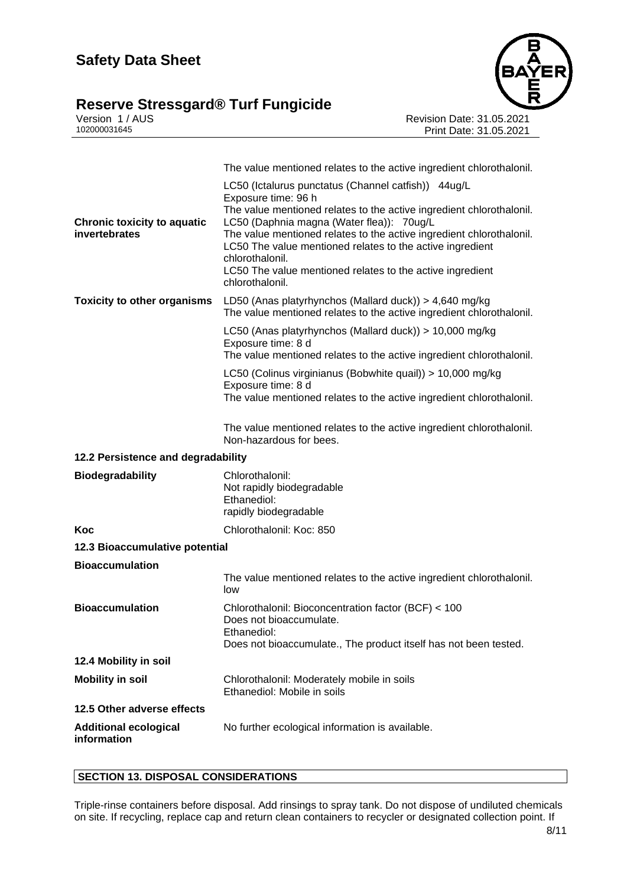# **Reserve Stressgard® Turf Fungicide 8/11**



Version 1 / AUS Revision Date: 31.05.2021 102000031645 Print Date: 31.05.2021

|                                                     | The value mentioned relates to the active ingredient chlorothalonil.                                                                                                                                                                                                                                                                                                                                                                    |
|-----------------------------------------------------|-----------------------------------------------------------------------------------------------------------------------------------------------------------------------------------------------------------------------------------------------------------------------------------------------------------------------------------------------------------------------------------------------------------------------------------------|
| <b>Chronic toxicity to aquatic</b><br>invertebrates | LC50 (Ictalurus punctatus (Channel catfish)) 44ug/L<br>Exposure time: 96 h<br>The value mentioned relates to the active ingredient chlorothalonil.<br>LC50 (Daphnia magna (Water flea)): 70ug/L<br>The value mentioned relates to the active ingredient chlorothalonil.<br>LC50 The value mentioned relates to the active ingredient<br>chlorothalonil.<br>LC50 The value mentioned relates to the active ingredient<br>chlorothalonil. |
| <b>Toxicity to other organisms</b>                  | LD50 (Anas platyrhynchos (Mallard duck)) > 4,640 mg/kg<br>The value mentioned relates to the active ingredient chlorothalonil.                                                                                                                                                                                                                                                                                                          |
|                                                     | LC50 (Anas platyrhynchos (Mallard duck)) > 10,000 mg/kg<br>Exposure time: 8 d<br>The value mentioned relates to the active ingredient chlorothalonil.<br>LC50 (Colinus virginianus (Bobwhite quail)) > 10,000 mg/kg                                                                                                                                                                                                                     |
|                                                     | Exposure time: 8 d<br>The value mentioned relates to the active ingredient chlorothalonil.                                                                                                                                                                                                                                                                                                                                              |
|                                                     | The value mentioned relates to the active ingredient chlorothalonil.<br>Non-hazardous for bees.                                                                                                                                                                                                                                                                                                                                         |
| 12.2 Persistence and degradability                  |                                                                                                                                                                                                                                                                                                                                                                                                                                         |
| <b>Biodegradability</b>                             | Chlorothalonil:<br>Not rapidly biodegradable<br>Ethanediol:<br>rapidly biodegradable                                                                                                                                                                                                                                                                                                                                                    |
| Koc                                                 | Chlorothalonil: Koc: 850                                                                                                                                                                                                                                                                                                                                                                                                                |
| 12.3 Bioaccumulative potential                      |                                                                                                                                                                                                                                                                                                                                                                                                                                         |
| <b>Bioaccumulation</b>                              |                                                                                                                                                                                                                                                                                                                                                                                                                                         |
|                                                     | The value mentioned relates to the active ingredient chlorothalonil.<br>low                                                                                                                                                                                                                                                                                                                                                             |
| <b>Bioaccumulation</b>                              | Chlorothalonil: Bioconcentration factor (BCF) < 100<br>Does not bioaccumulate.<br>Ethanediol:<br>Does not bioaccumulate., The product itself has not been tested.                                                                                                                                                                                                                                                                       |
| 12.4 Mobility in soil                               |                                                                                                                                                                                                                                                                                                                                                                                                                                         |
| <b>Mobility in soil</b>                             | Chlorothalonil: Moderately mobile in soils<br>Ethanediol: Mobile in soils                                                                                                                                                                                                                                                                                                                                                               |
| 12.5 Other adverse effects                          |                                                                                                                                                                                                                                                                                                                                                                                                                                         |

# **SECTION 13. DISPOSAL CONSIDERATIONS**

Triple-rinse containers before disposal. Add rinsings to spray tank. Do not dispose of undiluted chemicals on site. If recycling, replace cap and return clean containers to recycler or designated collection point. If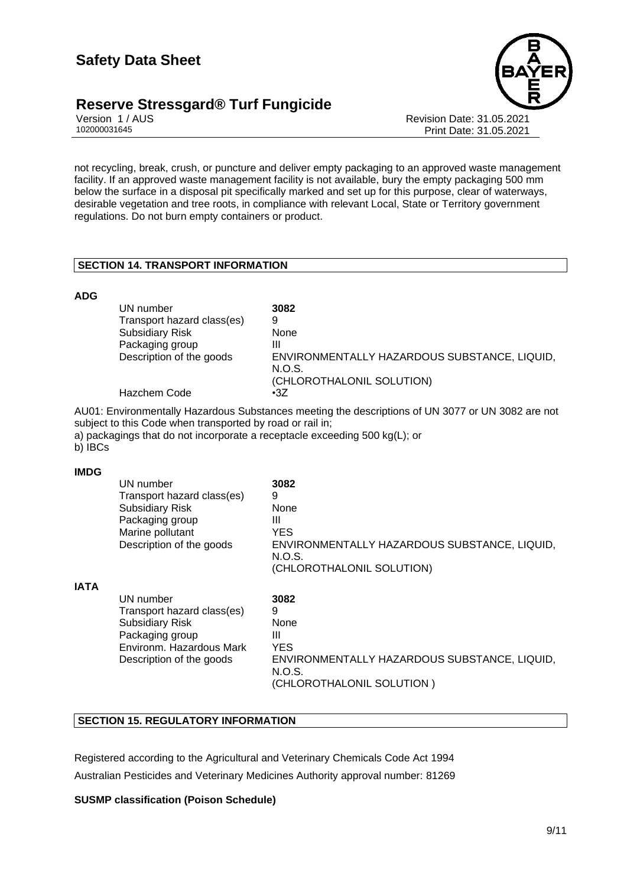# **Reserve Stressgard® Turf Fungicide 9/11**



Version 1 / AUS Revision Date: 31.05.2021 Print Date: 31.05.2021

not recycling, break, crush, or puncture and deliver empty packaging to an approved waste management facility. If an approved waste management facility is not available, bury the empty packaging 500 mm below the surface in a disposal pit specifically marked and set up for this purpose, clear of waterways, desirable vegetation and tree roots, in compliance with relevant Local, State or Territory government regulations. Do not burn empty containers or product.

# **SECTION 14. TRANSPORT INFORMATION**

# **ADG**

| UN number                  | 3082                                         |
|----------------------------|----------------------------------------------|
| Transport hazard class(es) | 9                                            |
| <b>Subsidiary Risk</b>     | None                                         |
| Packaging group            | Ш                                            |
| Description of the goods   | ENVIRONMENTALLY HAZARDOUS SUBSTANCE, LIQUID, |
|                            | N.O.S.                                       |
|                            | (CHLOROTHALONIL SOLUTION)                    |
| Hazchem Code               | $\cdot 37$                                   |

AU01: Environmentally Hazardous Substances meeting the descriptions of UN 3077 or UN 3082 are not subject to this Code when transported by road or rail in;

a) packagings that do not incorporate a receptacle exceeding 500 kg(L); or

b) IBCs

#### **IMDG**

**IATA**

| UN number<br>Transport hazard class(es)<br><b>Subsidiary Risk</b><br>Packaging group<br>Marine pollutant<br>Description of the goods         | 3082<br>9<br>None<br>Ш<br><b>YES</b><br>ENVIRONMENTALLY HAZARDOUS SUBSTANCE, LIQUID,<br>N.O.S.<br>(CHLOROTHALONIL SOLUTION) |
|----------------------------------------------------------------------------------------------------------------------------------------------|-----------------------------------------------------------------------------------------------------------------------------|
| UN number<br>Transport hazard class(es)<br><b>Subsidiary Risk</b><br>Packaging group<br>Environm. Hazardous Mark<br>Description of the goods | 3082<br>9<br>None<br>Ш<br><b>YES</b><br>ENVIRONMENTALLY HAZARDOUS SUBSTANCE, LIQUID,<br>N.O.S.<br>(CHLOROTHALONIL SOLUTION) |

# **SECTION 15. REGULATORY INFORMATION**

Registered according to the Agricultural and Veterinary Chemicals Code Act 1994 Australian Pesticides and Veterinary Medicines Authority approval number: 81269

# **SUSMP classification (Poison Schedule)**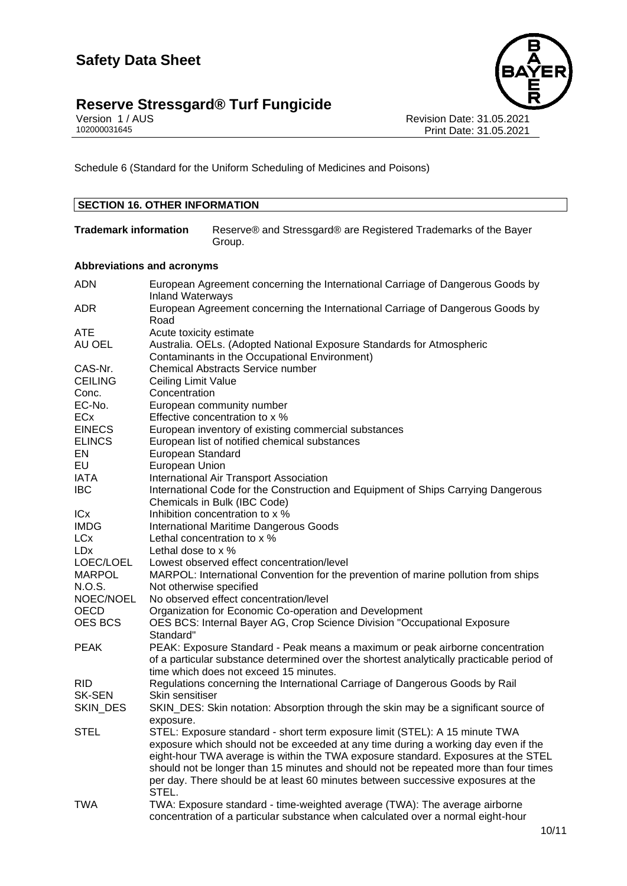# **Reserve Stressgard® Turf Fungicide 10/11**



Version 1 / AUS Revision Date: 31.05.2021 102000031645 Print Date: 31.05.2021

Schedule 6 (Standard for the Uniform Scheduling of Medicines and Poisons)

| <b>SECTION 16. OTHER INFORMATION</b> |                                                                                                                        |                                                                                                                   |
|--------------------------------------|------------------------------------------------------------------------------------------------------------------------|-------------------------------------------------------------------------------------------------------------------|
| <b>Trademark information</b>         |                                                                                                                        | Reserve® and Stressgard® are Registered Trademarks of the Bayer<br>Group.                                         |
| <b>Abbreviations and acronyms</b>    |                                                                                                                        |                                                                                                                   |
| <b>ADN</b>                           | <b>Inland Waterways</b>                                                                                                | European Agreement concerning the International Carriage of Dangerous Goods by                                    |
| <b>ADR</b>                           | Road                                                                                                                   | European Agreement concerning the International Carriage of Dangerous Goods by                                    |
| ATE                                  | Acute toxicity estimate                                                                                                |                                                                                                                   |
| AU OEL                               | Australia. OELs. (Adopted National Exposure Standards for Atmospheric<br>Contaminants in the Occupational Environment) |                                                                                                                   |
| CAS-Nr.                              |                                                                                                                        | <b>Chemical Abstracts Service number</b>                                                                          |
| <b>CEILING</b>                       | Ceiling Limit Value                                                                                                    |                                                                                                                   |
| Conc.                                | Concentration                                                                                                          |                                                                                                                   |
| EC-No.                               |                                                                                                                        | European community number                                                                                         |
| ECx                                  |                                                                                                                        | Effective concentration to x %                                                                                    |
| <b>EINECS</b>                        |                                                                                                                        |                                                                                                                   |
|                                      |                                                                                                                        | European inventory of existing commercial substances                                                              |
| <b>ELINCS</b>                        |                                                                                                                        | European list of notified chemical substances                                                                     |
| EN                                   | European Standard                                                                                                      |                                                                                                                   |
| EU                                   | European Union                                                                                                         |                                                                                                                   |
| <b>IATA</b>                          |                                                                                                                        | International Air Transport Association                                                                           |
| <b>IBC</b>                           |                                                                                                                        | International Code for the Construction and Equipment of Ships Carrying Dangerous<br>Chemicals in Bulk (IBC Code) |
| ICx                                  |                                                                                                                        | Inhibition concentration to x %                                                                                   |
| <b>IMDG</b>                          |                                                                                                                        | <b>International Maritime Dangerous Goods</b>                                                                     |
| <b>LCx</b>                           |                                                                                                                        | Lethal concentration to x %                                                                                       |
| <b>LDx</b>                           | Lethal dose to x %                                                                                                     |                                                                                                                   |
| LOEC/LOEL                            |                                                                                                                        | Lowest observed effect concentration/level                                                                        |
| <b>MARPOL</b>                        |                                                                                                                        | MARPOL: International Convention for the prevention of marine pollution from ships                                |
| N.O.S.                               | Not otherwise specified                                                                                                |                                                                                                                   |
| NOEC/NOEL                            |                                                                                                                        | No observed effect concentration/level                                                                            |
| <b>OECD</b>                          |                                                                                                                        | Organization for Economic Co-operation and Development                                                            |
| OES BCS                              |                                                                                                                        | OES BCS: Internal Bayer AG, Crop Science Division "Occupational Exposure                                          |
|                                      | Standard"                                                                                                              |                                                                                                                   |
| <b>PEAK</b>                          |                                                                                                                        | PEAK: Exposure Standard - Peak means a maximum or peak airborne concentration                                     |
|                                      |                                                                                                                        | of a particular substance determined over the shortest analytically practicable period of                         |
|                                      |                                                                                                                        | time which does not exceed 15 minutes.                                                                            |
| <b>RID</b>                           |                                                                                                                        | Regulations concerning the International Carriage of Dangerous Goods by Rail                                      |
| <b>SK-SEN</b>                        | Skin sensitiser                                                                                                        |                                                                                                                   |
| SKIN_DES                             |                                                                                                                        | SKIN_DES: Skin notation: Absorption through the skin may be a significant source of                               |
|                                      | exposure.                                                                                                              |                                                                                                                   |
| <b>STEL</b>                          |                                                                                                                        | STEL: Exposure standard - short term exposure limit (STEL): A 15 minute TWA                                       |
|                                      |                                                                                                                        | exposure which should not be exceeded at any time during a working day even if the                                |
|                                      |                                                                                                                        | eight-hour TWA average is within the TWA exposure standard. Exposures at the STEL                                 |
|                                      |                                                                                                                        | should not be longer than 15 minutes and should not be repeated more than four times                              |
|                                      |                                                                                                                        | per day. There should be at least 60 minutes between successive exposures at the                                  |
|                                      | STEL.                                                                                                                  |                                                                                                                   |
| <b>TWA</b>                           |                                                                                                                        | TWA: Exposure standard - time-weighted average (TWA): The average airborne                                        |
|                                      |                                                                                                                        | concentration of a particular substance when calculated over a normal eight-hour                                  |